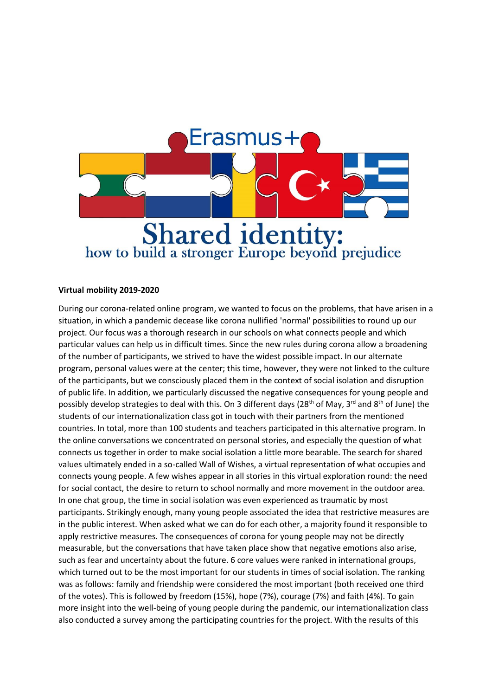

## **Virtual mobility 2019-2020**

During our corona-related online program, we wanted to focus on the problems, that have arisen in a situation, in which a pandemic decease like corona nullified 'normal' possibilities to round up our project. Our focus was a thorough research in our schools on what connects people and which particular values can help us in difficult times. Since the new rules during corona allow a broadening of the number of participants, we strived to have the widest possible impact. In our alternate program, personal values were at the center; this time, however, they were not linked to the culture of the participants, but we consciously placed them in the context of social isolation and disruption of public life. In addition, we particularly discussed the negative consequences for young people and possibly develop strategies to deal with this. On 3 different days (28<sup>th</sup> of May, 3<sup>rd</sup> and 8<sup>th</sup> of June) the students of our internationalization class got in touch with their partners from the mentioned countries. In total, more than 100 students and teachers participated in this alternative program. In the online conversations we concentrated on personal stories, and especially the question of what connects us together in order to make social isolation a little more bearable. The search for shared values ultimately ended in a so-called Wall of Wishes, a virtual representation of what occupies and connects young people. A few wishes appear in all stories in this virtual exploration round: the need for social contact, the desire to return to school normally and more movement in the outdoor area. In one chat group, the time in social isolation was even experienced as traumatic by most participants. Strikingly enough, many young people associated the idea that restrictive measures are in the public interest. When asked what we can do for each other, a majority found it responsible to apply restrictive measures. The consequences of corona for young people may not be directly measurable, but the conversations that have taken place show that negative emotions also arise, such as fear and uncertainty about the future. 6 core values were ranked in international groups, which turned out to be the most important for our students in times of social isolation. The ranking was as follows: family and friendship were considered the most important (both received one third of the votes). This is followed by freedom (15%), hope (7%), courage (7%) and faith (4%). To gain more insight into the well-being of young people during the pandemic, our internationalization class also conducted a survey among the participating countries for the project. With the results of this